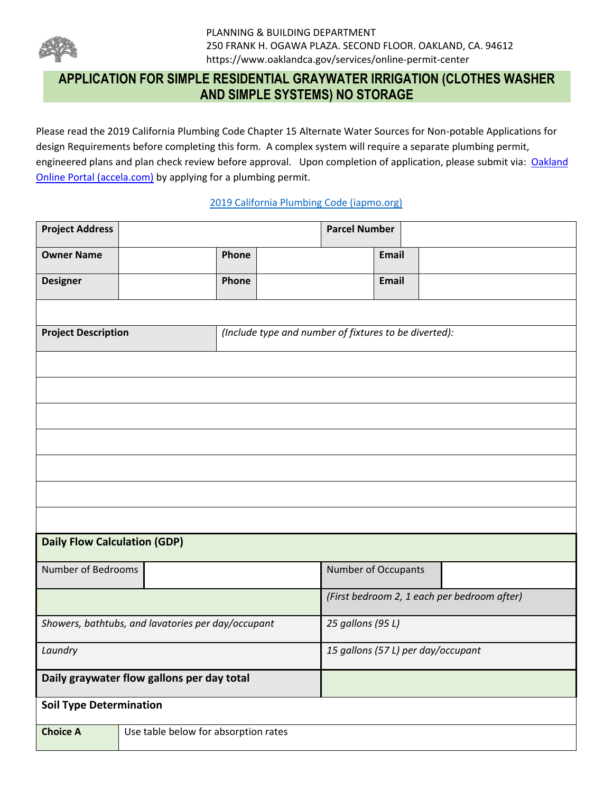

Please read the 2019 California Plumbing Code Chapter 15 Alternate Water Sources for Non-potable Applications for design Requirements before completing this form. A complex system will require a separate plumbing permit, engineered plans and plan check review before approval. Upon completion of application, please submit via: Oakland [Online Portal \(accela.com\)](https://aca-prod.accela.com/OAKLAND/Default.aspx) by applying for a plumbing permit.

#### [2019 California Plumbing Code \(iapmo.org\)](https://epubs.iapmo.org/2019/CPC/index.html)

| <b>Project Address</b>                                  |       |                                                       | <b>Parcel Number</b>                        |       |  |  |
|---------------------------------------------------------|-------|-------------------------------------------------------|---------------------------------------------|-------|--|--|
| <b>Owner Name</b>                                       | Phone |                                                       |                                             | Email |  |  |
| <b>Designer</b>                                         | Phone |                                                       |                                             | Email |  |  |
|                                                         |       |                                                       |                                             |       |  |  |
| <b>Project Description</b>                              |       | (Include type and number of fixtures to be diverted): |                                             |       |  |  |
|                                                         |       |                                                       |                                             |       |  |  |
|                                                         |       |                                                       |                                             |       |  |  |
|                                                         |       |                                                       |                                             |       |  |  |
|                                                         |       |                                                       |                                             |       |  |  |
|                                                         |       |                                                       |                                             |       |  |  |
|                                                         |       |                                                       |                                             |       |  |  |
|                                                         |       |                                                       |                                             |       |  |  |
| <b>Daily Flow Calculation (GDP)</b>                     |       |                                                       |                                             |       |  |  |
| Number of Bedrooms                                      |       |                                                       | Number of Occupants                         |       |  |  |
|                                                         |       |                                                       | (First bedroom 2, 1 each per bedroom after) |       |  |  |
| Showers, bathtubs, and lavatories per day/occupant      |       |                                                       | 25 gallons (95 L)                           |       |  |  |
| Laundry                                                 |       |                                                       | 15 gallons (57 L) per day/occupant          |       |  |  |
| Daily graywater flow gallons per day total              |       |                                                       |                                             |       |  |  |
| <b>Soil Type Determination</b>                          |       |                                                       |                                             |       |  |  |
| Use table below for absorption rates<br><b>Choice A</b> |       |                                                       |                                             |       |  |  |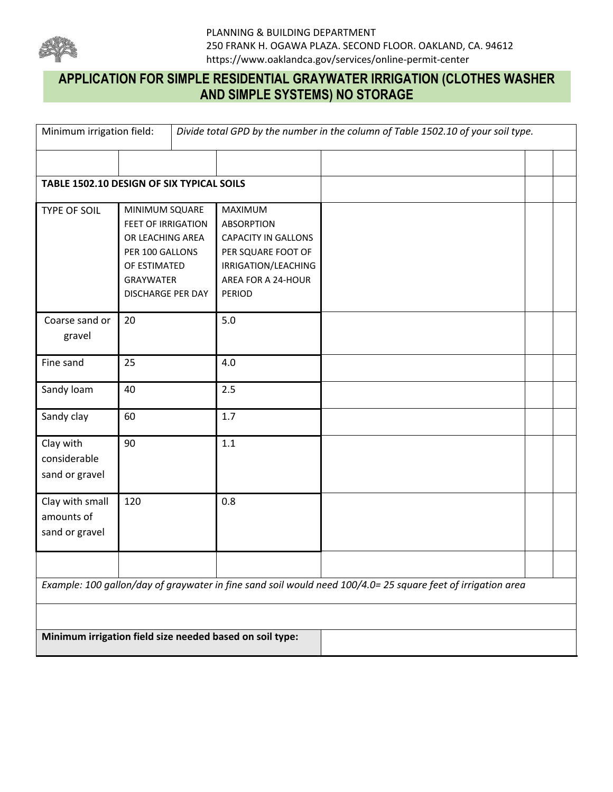

| Minimum irrigation field:                       |                                                                                                                                             |                                                                                                                                         | Divide total GPD by the number in the column of Table 1502.10 of your soil type.                             |  |
|-------------------------------------------------|---------------------------------------------------------------------------------------------------------------------------------------------|-----------------------------------------------------------------------------------------------------------------------------------------|--------------------------------------------------------------------------------------------------------------|--|
|                                                 |                                                                                                                                             |                                                                                                                                         |                                                                                                              |  |
|                                                 | TABLE 1502.10 DESIGN OF SIX TYPICAL SOILS                                                                                                   |                                                                                                                                         |                                                                                                              |  |
| TYPE OF SOIL                                    | MINIMUM SQUARE<br><b>FEET OF IRRIGATION</b><br>OR LEACHING AREA<br>PER 100 GALLONS<br>OF ESTIMATED<br><b>GRAYWATER</b><br>DISCHARGE PER DAY | MAXIMUM<br><b>ABSORPTION</b><br><b>CAPACITY IN GALLONS</b><br>PER SQUARE FOOT OF<br>IRRIGATION/LEACHING<br>AREA FOR A 24-HOUR<br>PERIOD |                                                                                                              |  |
| Coarse sand or<br>gravel                        | 20                                                                                                                                          | $5.0$                                                                                                                                   |                                                                                                              |  |
| Fine sand                                       | 25                                                                                                                                          | 4.0                                                                                                                                     |                                                                                                              |  |
| Sandy loam                                      | 40                                                                                                                                          | 2.5                                                                                                                                     |                                                                                                              |  |
| Sandy clay                                      | 60                                                                                                                                          | 1.7                                                                                                                                     |                                                                                                              |  |
| Clay with<br>considerable<br>sand or gravel     | 90                                                                                                                                          | 1.1                                                                                                                                     |                                                                                                              |  |
| Clay with small<br>amounts of<br>sand or gravel | 120                                                                                                                                         | 0.8                                                                                                                                     |                                                                                                              |  |
|                                                 |                                                                                                                                             |                                                                                                                                         |                                                                                                              |  |
|                                                 |                                                                                                                                             |                                                                                                                                         | Example: 100 gallon/day of graywater in fine sand soil would need 100/4.0= 25 square feet of irrigation area |  |
|                                                 |                                                                                                                                             |                                                                                                                                         |                                                                                                              |  |
|                                                 |                                                                                                                                             | Minimum irrigation field size needed based on soil type:                                                                                |                                                                                                              |  |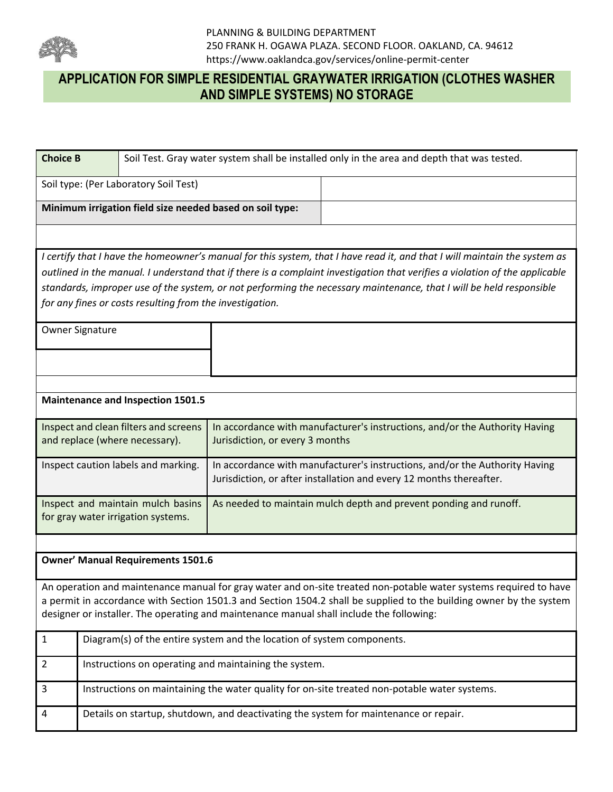

| <b>Choice B</b> |                                                                         | Soil Test. Gray water system shall be installed only in the area and depth that was tested.                                                                                                                                                                                                                                                                                     |  |  |  |  |  |  |  |  |  |
|-----------------|-------------------------------------------------------------------------|---------------------------------------------------------------------------------------------------------------------------------------------------------------------------------------------------------------------------------------------------------------------------------------------------------------------------------------------------------------------------------|--|--|--|--|--|--|--|--|--|
|                 | Soil type: (Per Laboratory Soil Test)                                   |                                                                                                                                                                                                                                                                                                                                                                                 |  |  |  |  |  |  |  |  |  |
|                 | Minimum irrigation field size needed based on soil type:                |                                                                                                                                                                                                                                                                                                                                                                                 |  |  |  |  |  |  |  |  |  |
|                 |                                                                         |                                                                                                                                                                                                                                                                                                                                                                                 |  |  |  |  |  |  |  |  |  |
|                 |                                                                         | I certify that I have the homeowner's manual for this system, that I have read it, and that I will maintain the system as<br>outlined in the manual. I understand that if there is a complaint investigation that verifies a violation of the applicable<br>standards, improper use of the system, or not performing the necessary maintenance, that I will be held responsible |  |  |  |  |  |  |  |  |  |
|                 | for any fines or costs resulting from the investigation.                |                                                                                                                                                                                                                                                                                                                                                                                 |  |  |  |  |  |  |  |  |  |
| Owner Signature |                                                                         |                                                                                                                                                                                                                                                                                                                                                                                 |  |  |  |  |  |  |  |  |  |
|                 |                                                                         |                                                                                                                                                                                                                                                                                                                                                                                 |  |  |  |  |  |  |  |  |  |
|                 |                                                                         |                                                                                                                                                                                                                                                                                                                                                                                 |  |  |  |  |  |  |  |  |  |
|                 | <b>Maintenance and Inspection 1501.5</b>                                |                                                                                                                                                                                                                                                                                                                                                                                 |  |  |  |  |  |  |  |  |  |
|                 | Inspect and clean filters and screens<br>and replace (where necessary). | In accordance with manufacturer's instructions, and/or the Authority Having<br>Jurisdiction, or every 3 months                                                                                                                                                                                                                                                                  |  |  |  |  |  |  |  |  |  |
|                 | Inspect caution labels and marking.                                     | In accordance with manufacturer's instructions, and/or the Authority Having<br>Jurisdiction, or after installation and every 12 months thereafter.                                                                                                                                                                                                                              |  |  |  |  |  |  |  |  |  |
|                 | Inspect and maintain mulch basins<br>for gray water irrigation systems. | As needed to maintain mulch depth and prevent ponding and runoff.                                                                                                                                                                                                                                                                                                               |  |  |  |  |  |  |  |  |  |
|                 |                                                                         |                                                                                                                                                                                                                                                                                                                                                                                 |  |  |  |  |  |  |  |  |  |
|                 | <b>Owner' Manual Requirements 1501.6</b>                                |                                                                                                                                                                                                                                                                                                                                                                                 |  |  |  |  |  |  |  |  |  |
|                 |                                                                         | An operation and maintenance manual for gray water and on-site treated non-potable water systems required to have<br>a permit in accordance with Section 1501.3 and Section 1504.2 shall be supplied to the building owner by the system<br>designer or installer. The operating and maintenance manual shall include the following:                                            |  |  |  |  |  |  |  |  |  |
| $\mathbf{1}$    |                                                                         | Diagram(s) of the entire system and the location of system components.                                                                                                                                                                                                                                                                                                          |  |  |  |  |  |  |  |  |  |
| $\overline{2}$  | Instructions on operating and maintaining the system.                   |                                                                                                                                                                                                                                                                                                                                                                                 |  |  |  |  |  |  |  |  |  |
| 3               |                                                                         | Instructions on maintaining the water quality for on-site treated non-potable water systems.                                                                                                                                                                                                                                                                                    |  |  |  |  |  |  |  |  |  |
| 4               |                                                                         | Details on startup, shutdown, and deactivating the system for maintenance or repair.                                                                                                                                                                                                                                                                                            |  |  |  |  |  |  |  |  |  |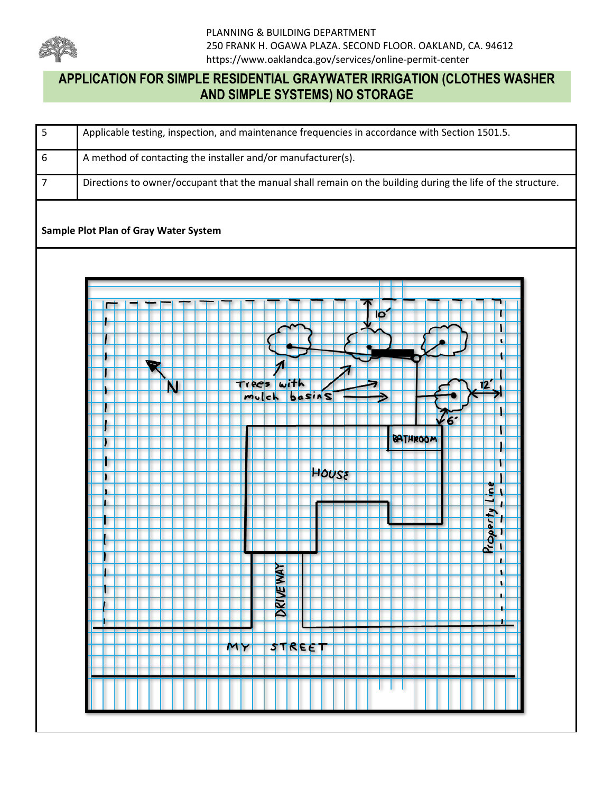

| $\overline{\mathbf{5}}$ | Applicable testing, inspection, and maintenance frequencies in accordance with Section 1501.5.                                                                                                                                                  |
|-------------------------|-------------------------------------------------------------------------------------------------------------------------------------------------------------------------------------------------------------------------------------------------|
| $\boldsymbol{6}$        | A method of contacting the installer and/or manufacturer(s).                                                                                                                                                                                    |
| $\overline{7}$          | Directions to owner/occupant that the manual shall remain on the building during the life of the structure.                                                                                                                                     |
|                         | Sample Plot Plan of Gray Water System<br>lo<br>١<br>$\mathbf{r}$<br>with<br>Trees<br>N<br>basins<br>mulch<br>66<br>BATHROOM<br>HOUSE<br>Ľ<br>$\frac{P_{copy}}{-}$<br>ı<br>≿<br>٠<br><b>DRIVE WA</b><br>٠<br>L<br>л<br>۰.<br><b>STREET</b><br>MY |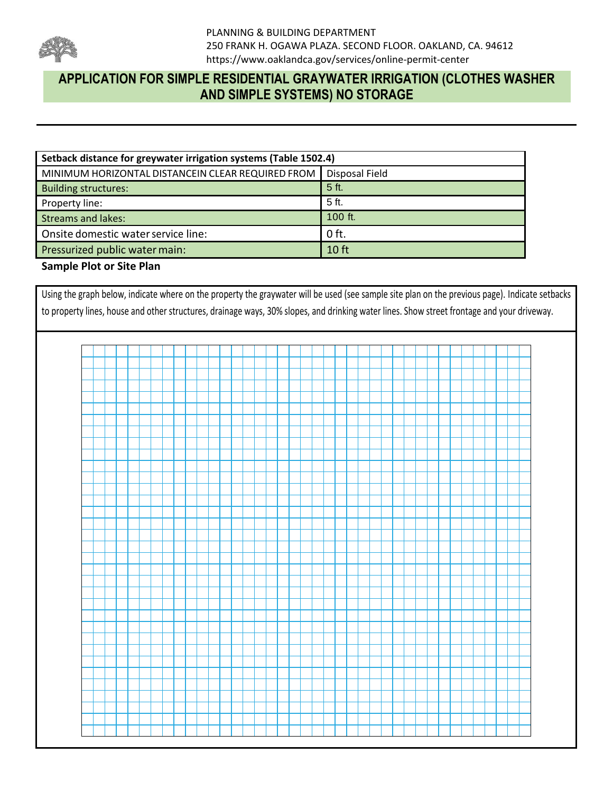

| Setback distance for greywater irrigation systems (Table 1502.4) |                |
|------------------------------------------------------------------|----------------|
| MINIMUM HORIZONTAL DISTANCEIN CLEAR REQUIRED FROM                | Disposal Field |
| <b>Building structures:</b>                                      | 5 ft.          |
| Property line:                                                   | 5 ft.          |
| <b>Streams and lakes:</b>                                        | 100 ft.        |
| Onsite domestic water service line:                              | $0$ ft.        |
| Pressurized public water main:                                   | 10 ft          |

### **Sample Plot or Site Plan**

Using the graph below, indicate where on the property the graywater will be used (see sample site plan on the previous page). Indicate setbacks to property lines, house and other structures, drainage ways, 30% slopes, and drinking water lines. Show street frontage and your driveway.